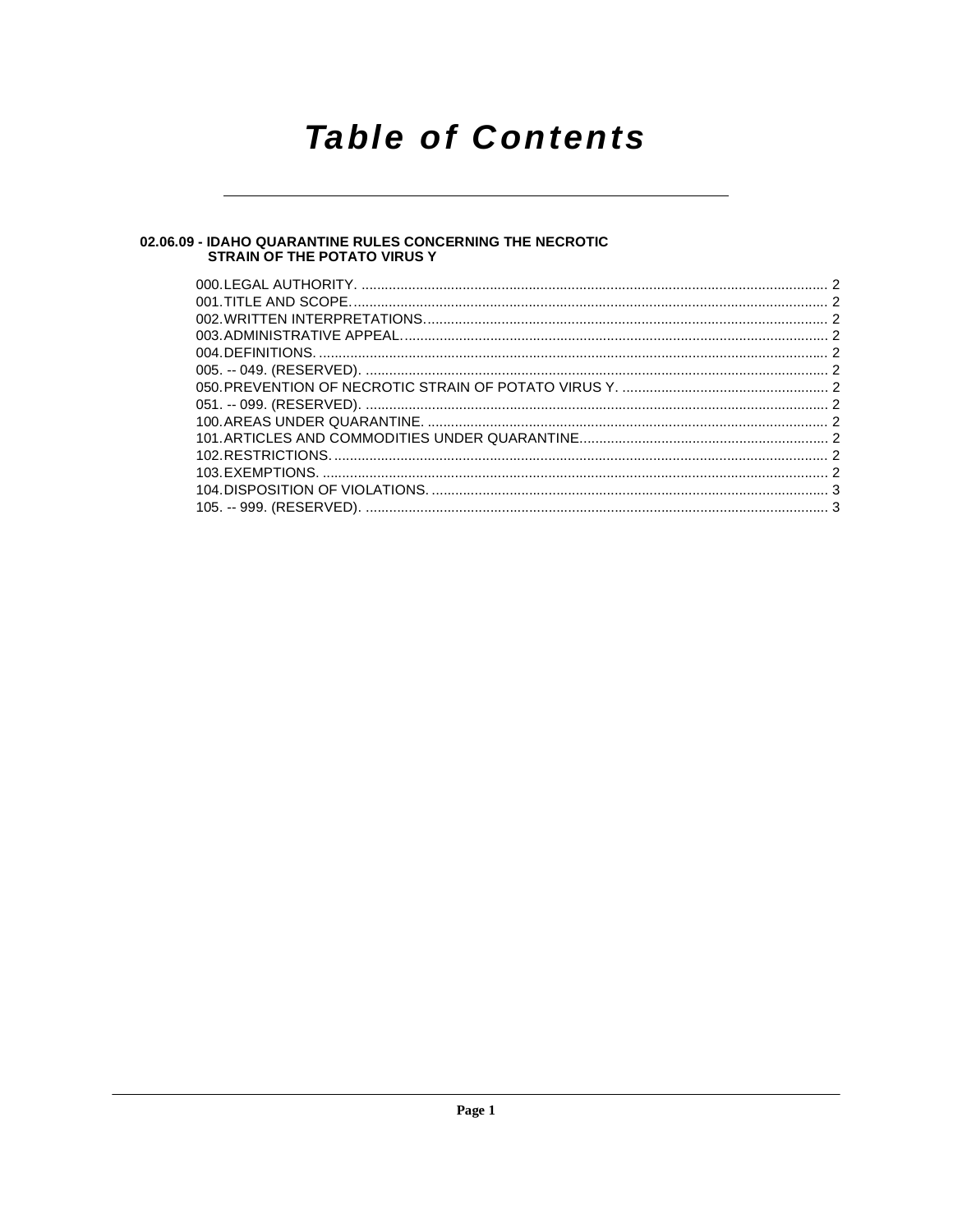# **Table of Contents**

## 02.06.09 - IDAHO QUARANTINE RULES CONCERNING THE NECROTIC<br>STRAIN OF THE POTATO VIRUS Y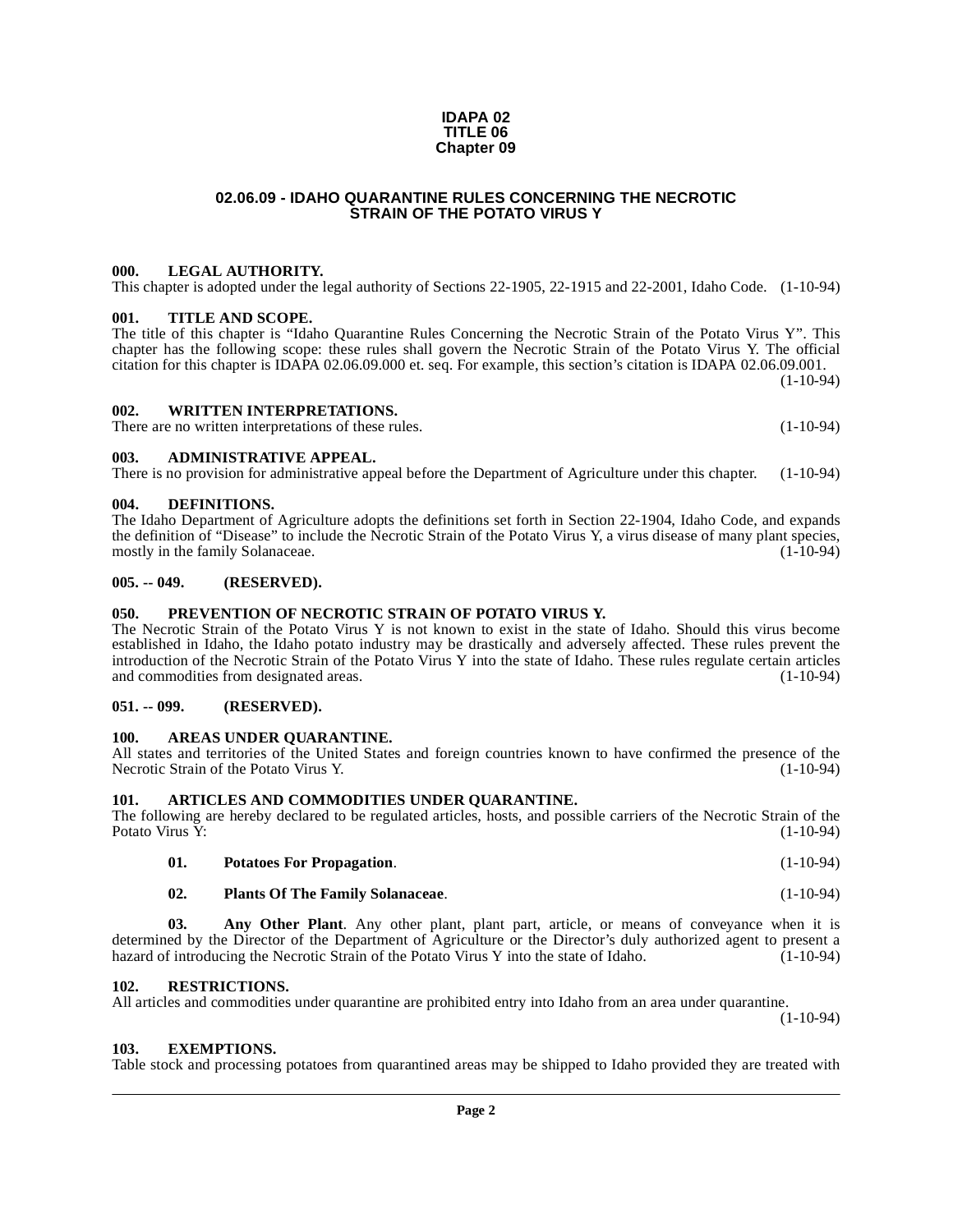#### **02.06.09 - IDAHO QUARANTINE RULES CONCERNING THE NECROTIC STRAIN OF THE POTATO VIRUS Y**

**IDAPA 02 TITLE 06 Chapter 09**

#### <span id="page-1-1"></span><span id="page-1-0"></span>**000. LEGAL AUTHORITY.**

This chapter is adopted under the legal authority of Sections 22-1905, 22-1915 and 22-2001, Idaho Code. (1-10-94)

#### <span id="page-1-2"></span>**001. TITLE AND SCOPE.**

The title of this chapter is "Idaho Quarantine Rules Concerning the Necrotic Strain of the Potato Virus Y". This chapter has the following scope: these rules shall govern the Necrotic Strain of the Potato Virus Y. The official citation for this chapter is IDAPA 02.06.09.000 et. seq. For example, this section's citation is IDAPA 02.06.09.001.

 $(1-10-94)$ 

#### <span id="page-1-3"></span>**002. WRITTEN INTERPRETATIONS.**

There are no written interpretations of these rules. (1-10-94)

#### <span id="page-1-4"></span>**003. ADMINISTRATIVE APPEAL.**

There is no provision for administrative appeal before the Department of Agriculture under this chapter. (1-10-94)

#### <span id="page-1-16"></span><span id="page-1-5"></span>**004. DEFINITIONS.**

The Idaho Department of Agriculture adopts the definitions set forth in Section 22-1904, Idaho Code, and expands the definition of "Disease" to include the Necrotic Strain of the Potato Virus Y, a virus disease of many plant species,<br>mostly in the family Solanaceae. (1-10-94) mostly in the family Solanaceae.

#### <span id="page-1-6"></span>**005. -- 049. (RESERVED).**

#### <span id="page-1-20"></span><span id="page-1-7"></span>**050. PREVENTION OF NECROTIC STRAIN OF POTATO VIRUS Y.**

The Necrotic Strain of the Potato Virus Y is not known to exist in the state of Idaho. Should this virus become established in Idaho, the Idaho potato industry may be drastically and adversely affected. These rules prevent the introduction of the Necrotic Strain of the Potato Virus Y into the state of Idaho. These rules regulate certain articles and commodities from designated areas. (1-10-94)

#### <span id="page-1-8"></span>**051. -- 099. (RESERVED).**

#### <span id="page-1-14"></span><span id="page-1-9"></span>**100. AREAS UNDER QUARANTINE.**

All states and territories of the United States and foreign countries known to have confirmed the presence of the Necrotic Strain of the Potato Virus Y. (1-10-94) Necrotic Strain of the Potato Virus Y.

#### <span id="page-1-15"></span><span id="page-1-10"></span>**101. ARTICLES AND COMMODITIES UNDER QUARANTINE.**

The following are hereby declared to be regulated articles, hosts, and possible carriers of the Necrotic Strain of the Potato Virus Y: (1-10-94) Potato Virus  $\check{Y}$ :

<span id="page-1-19"></span>

|  | <b>Potatoes For Propagation.</b> | $(1-10-94)$ |
|--|----------------------------------|-------------|
|--|----------------------------------|-------------|

#### <span id="page-1-18"></span><span id="page-1-13"></span>**02. Plants Of The Family Solanaceae**. (1-10-94)

**03. Any Other Plant**. Any other plant, plant part, article, or means of conveyance when it is determined by the Director of the Department of Agriculture or the Director's duly authorized agent to present a hazard of introducing the Necrotic Strain of the Potato Virus Y into the state of Idaho. (1-10-94) hazard of introducing the Necrotic Strain of the Potato Virus Y into the state of Idaho.

#### <span id="page-1-21"></span><span id="page-1-11"></span>**102. RESTRICTIONS.**

All articles and commodities under quarantine are prohibited entry into Idaho from an area under quarantine. (1-10-94)

#### <span id="page-1-17"></span><span id="page-1-12"></span>**103. EXEMPTIONS.**

Table stock and processing potatoes from quarantined areas may be shipped to Idaho provided they are treated with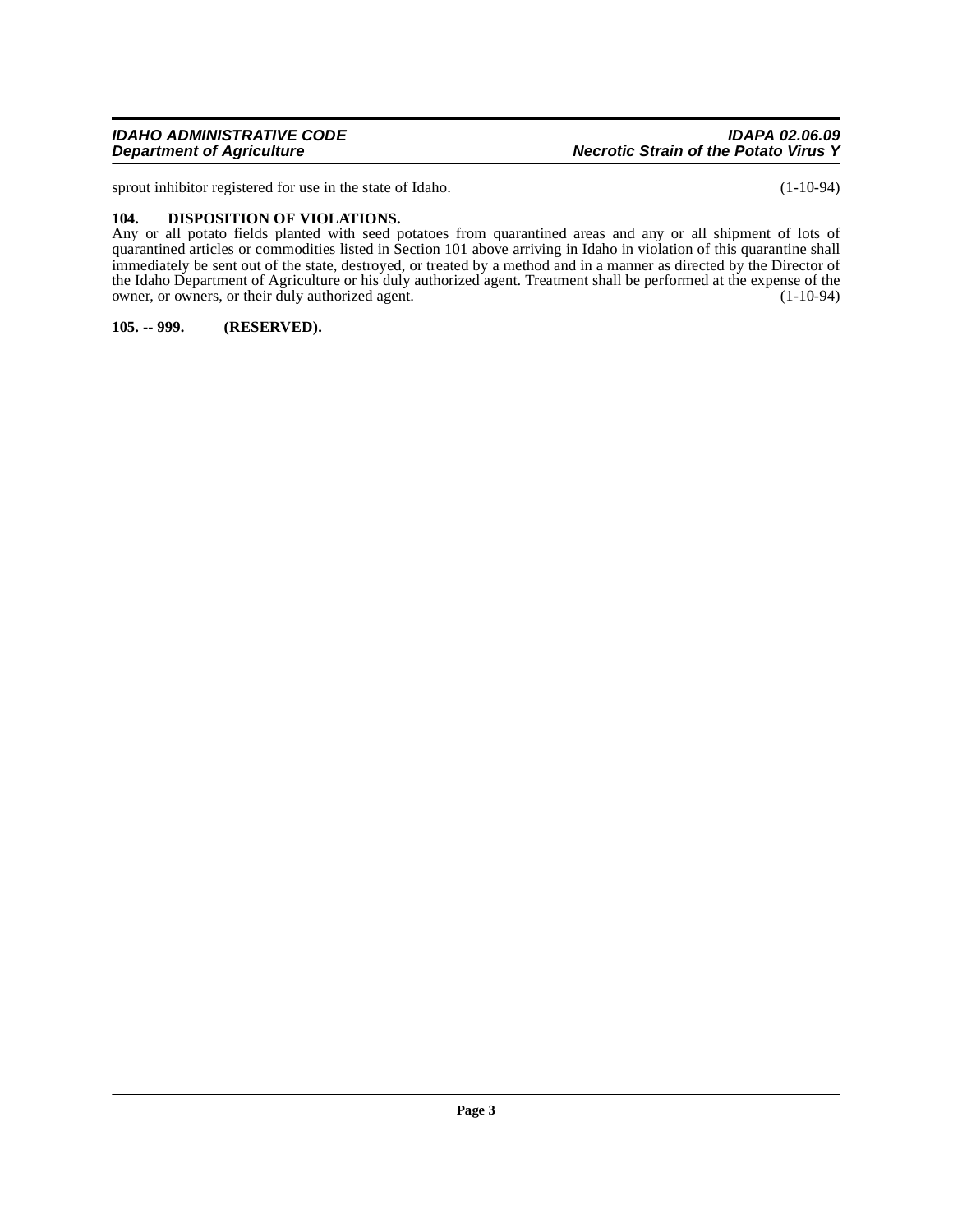sprout inhibitor registered for use in the state of Idaho. (1-10-94)

#### <span id="page-2-2"></span><span id="page-2-0"></span>**104. DISPOSITION OF VIOLATIONS.**

Any or all potato fields planted with seed potatoes from quarantined areas and any or all shipment of lots of quarantined articles or commodities listed in Section 101 above arriving in Idaho in violation of this quarantine shall immediately be sent out of the state, destroyed, or treated by a method and in a manner as directed by the Director of the Idaho Department of Agriculture or his duly authorized agent. Treatment shall be performed at the expense of the owner, or owners, or their duly authorized agent. (1-10-94)

<span id="page-2-1"></span>**105. -- 999. (RESERVED).**